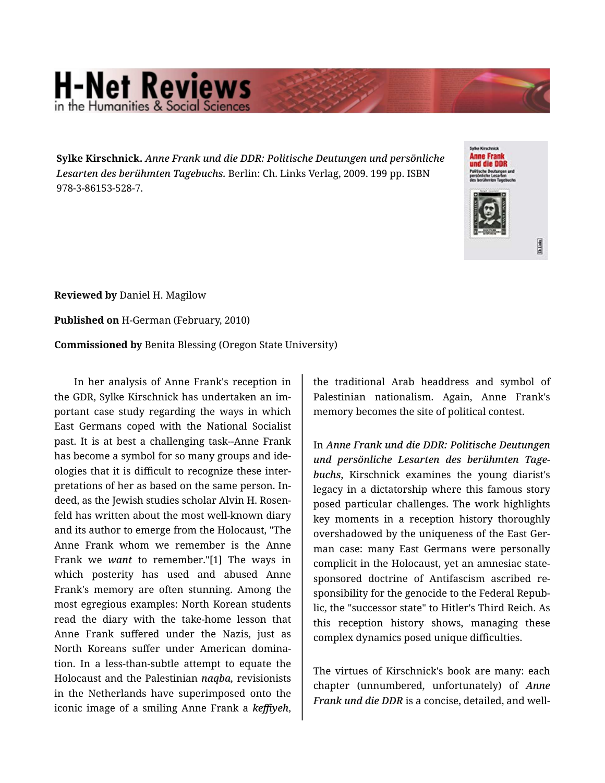## **H-Net Reviews**

**Sylke Kirschnick.** *Anne Frank und die DDR: Politische Deutungen und persönliche Lesarten des berühmten Tagebuchs.* Berlin: Ch. Links Verlag, 2009. 199 pp. ISBN 978-3-86153-528-7.



**Reviewed by** Daniel H. Magilow

**Published on** H-German (February, 2010)

**Commissioned by** Benita Blessing (Oregon State University)

In her analysis of Anne Frank's reception in the GDR, Sylke Kirschnick has undertaken an im‐ portant case study regarding the ways in which East Germans coped with the National Socialist past. It is at best a challenging task--Anne Frank has become a symbol for so many groups and ide‐ ologies that it is difficult to recognize these inter‐ pretations of her as based on the same person. In‐ deed, as the Jewish studies scholar Alvin H. Rosen‐ feld has written about the most well-known diary and its author to emerge from the Holocaust, "The Anne Frank whom we remember is the Anne Frank we *want* to remember."[1] The ways in which posterity has used and abused Anne Frank's memory are often stunning. Among the most egregious examples: North Korean students read the diary with the take-home lesson that Anne Frank suffered under the Nazis, just as North Koreans suffer under American domina‐ tion. In a less-than-subtle attempt to equate the Holocaust and the Palestinian *naqba,* revisionists in the Netherlands have superimposed onto the iconic image of a smiling Anne Frank a *keffiyeh*,

the traditional Arab headdress and symbol of Palestinian nationalism. Again, Anne Frank's memory becomes the site of political contest.

In *Anne Frank und die DDR: Politische Deutungen und persönliche Lesarten des berühmten Tage‐ buchs*, Kirschnick examines the young diarist's legacy in a dictatorship where this famous story posed particular challenges. The work highlights key moments in a reception history thoroughly overshadowed by the uniqueness of the East Ger‐ man case: many East Germans were personally complicit in the Holocaust, yet an amnesiac statesponsored doctrine of Antifascism ascribed re‐ sponsibility for the genocide to the Federal Repub‐ lic, the "successor state" to Hitler's Third Reich. As this reception history shows, managing these complex dynamics posed unique difficulties.

The virtues of Kirschnick's book are many: each chapter (unnumbered, unfortunately) of *Anne Frank und die DDR* is a concise, detailed, and well-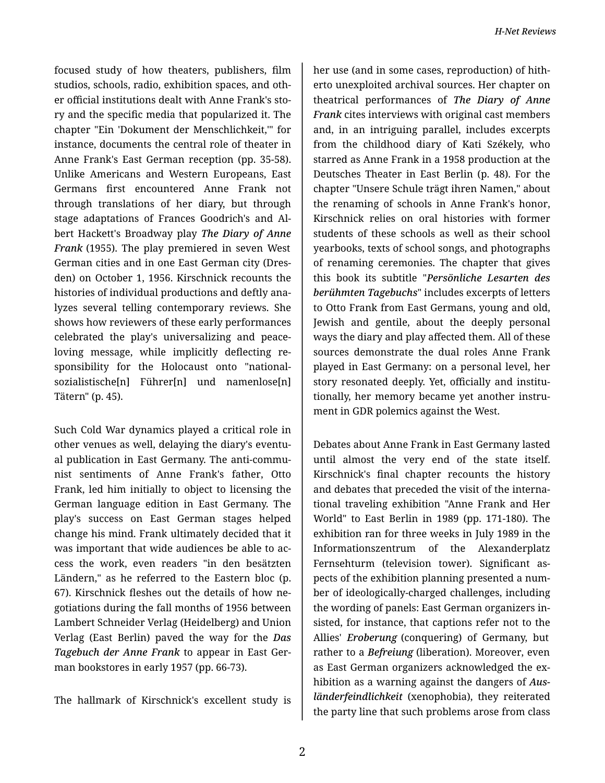focused study of how theaters, publishers, film studios, schools, radio, exhibition spaces, and oth‐ er official institutions dealt with Anne Frank's sto‐ ry and the specific media that popularized it. The chapter "Ein 'Dokument der Menschlichkeit,'" for instance, documents the central role of theater in Anne Frank's East German reception (pp. 35-58). Unlike Americans and Western Europeans, East Germans first encountered Anne Frank not through translations of her diary, but through stage adaptations of Frances Goodrich's and Al‐ bert Hackett's Broadway play *The Diary of Anne Frank* (1955). The play premiered in seven West German cities and in one East German city (Dres‐ den) on October 1, 1956. Kirschnick recounts the histories of individual productions and deftly ana‐ lyzes several telling contemporary reviews. She shows how reviewers of these early performances celebrated the play's universalizing and peaceloving message, while implicitly deflecting re‐ sponsibility for the Holocaust onto "nationalsozialistische[n] Führer[n] und namenlose[n] Tätern" (p. 45).

Such Cold War dynamics played a critical role in other venues as well, delaying the diary's eventu‐ al publication in East Germany. The anti-commu‐ nist sentiments of Anne Frank's father, Otto Frank, led him initially to object to licensing the German language edition in East Germany. The play's success on East German stages helped change his mind. Frank ultimately decided that it was important that wide audiences be able to ac‐ cess the work, even readers "in den besätzten Ländern," as he referred to the Eastern bloc (p. 67). Kirschnick fleshes out the details of how ne‐ gotiations during the fall months of 1956 between Lambert Schneider Verlag (Heidelberg) and Union Verlag (East Berlin) paved the way for the *Das Tagebuch der Anne Frank* to appear in East Ger‐ man bookstores in early 1957 (pp. 66-73).

The hallmark of Kirschnick's excellent study is

her use (and in some cases, reproduction) of hith‐ erto unexploited archival sources. Her chapter on theatrical performances of *The Diary of Anne Frank* cites interviews with original cast members and, in an intriguing parallel, includes excerpts from the childhood diary of Kati Székely, who starred as Anne Frank in a 1958 production at the Deutsches Theater in East Berlin (p. 48). For the chapter "Unsere Schule trägt ihren Namen," about the renaming of schools in Anne Frank's honor, Kirschnick relies on oral histories with former students of these schools as well as their school yearbooks, texts of school songs, and photographs of renaming ceremonies. The chapter that gives this book its subtitle "*Persönliche Lesarten des berühmten Tagebuchs*" includes excerpts of letters to Otto Frank from East Germans, young and old, Jewish and gentile, about the deeply personal ways the diary and play affected them. All of these sources demonstrate the dual roles Anne Frank played in East Germany: on a personal level, her story resonated deeply. Yet, officially and institu‐ tionally, her memory became yet another instru‐ ment in GDR polemics against the West.

Debates about Anne Frank in East Germany lasted until almost the very end of the state itself. Kirschnick's final chapter recounts the history and debates that preceded the visit of the interna‐ tional traveling exhibition "Anne Frank and Her World" to East Berlin in 1989 (pp. 171-180). The exhibition ran for three weeks in July 1989 in the Informationszentrum of the Alexanderplatz Fernsehturm (television tower). Significant as‐ pects of the exhibition planning presented a num‐ ber of ideologically-charged challenges, including the wording of panels: East German organizers in‐ sisted, for instance, that captions refer not to the Allies' *Eroberung* (conquering) of Germany, but rather to a *Befreiung* (liberation). Moreover, even as East German organizers acknowledged the ex‐ hibition as a warning against the dangers of *Aus‐ länderfeindlichkeit* (xenophobia), they reiterated the party line that such problems arose from class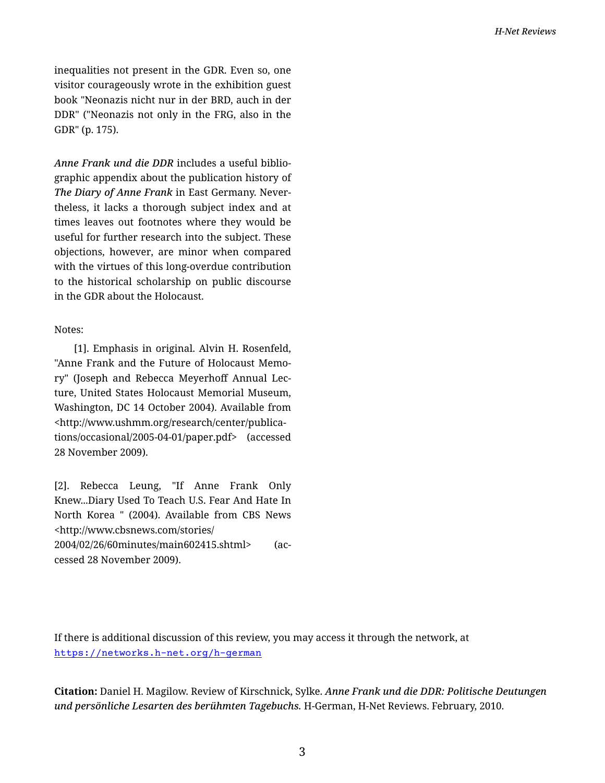inequalities not present in the GDR. Even so, one visitor courageously wrote in the exhibition guest book "Neonazis nicht nur in der BRD, auch in der DDR" ("Neonazis not only in the FRG, also in the GDR" (p. 175).

*Anne Frank und die DDR* includes a useful biblio‐ graphic appendix about the publication history of *The Diary of Anne Frank* in East Germany. Never‐ theless, it lacks a thorough subject index and at times leaves out footnotes where they would be useful for further research into the subject. These objections, however, are minor when compared with the virtues of this long-overdue contribution to the historical scholarship on public discourse in the GDR about the Holocaust.

## Notes:

[1]. Emphasis in original. Alvin H. Rosenfeld, "Anne Frank and the Future of Holocaust Memo‐ ry" (Joseph and Rebecca Meyerhoff Annual Lec‐ ture, United States Holocaust Memorial Museum, Washington, DC 14 October 2004). Available from <http://www.ushmm.org/research/center/publica‐ tions/occasional/2005-04-01/paper.pdf> (accessed 28 November 2009).

[2]. Rebecca Leung, "If Anne Frank Only Knew...Diary Used To Teach U.S. Fear And Hate In North Korea " (2004). Available from CBS News <http://www.cbsnews.com/stories/ 2004/02/26/60minutes/main602415.shtml> (ac‐ cessed 28 November 2009).

If there is additional discussion of this review, you may access it through the network, at <https://networks.h-net.org/h-german>

**Citation:** Daniel H. Magilow. Review of Kirschnick, Sylke. *Anne Frank und die DDR: Politische Deutungen und persönliche Lesarten des berühmten Tagebuchs.* H-German, H-Net Reviews. February, 2010.